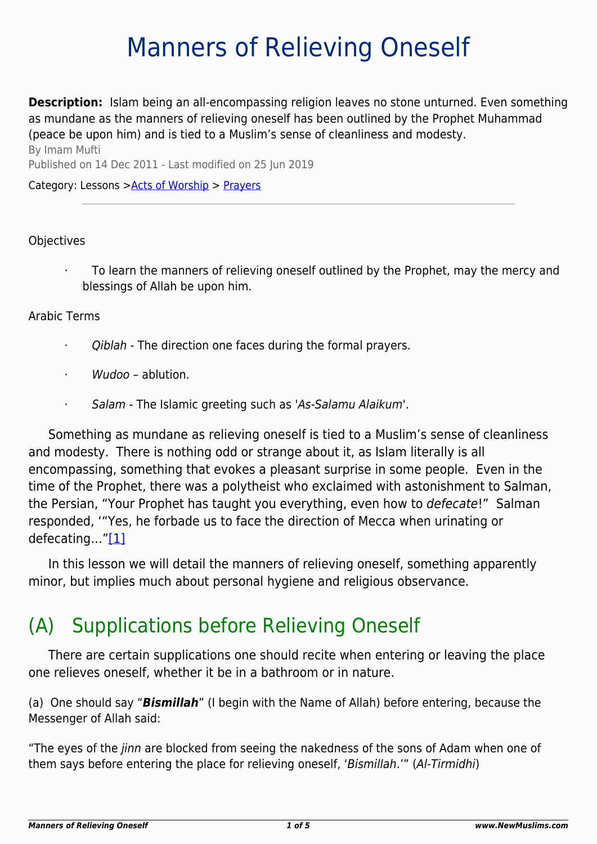# Manners of Relieving Oneself

**Description:** Islam being an all-encompassing religion leaves no stone unturned. Even something as mundane as the manners of relieving oneself has been outlined by the Prophet Muhammad (peace be upon him) and is tied to a Muslim's sense of cleanliness and modesty.

By Imam Mufti Published on 14 Dec 2011 - Last modified on 25 Jun 2019

#### Category: Lessons >[Acts of Worship](http://www.newmuslims.com/category/132/) > [Prayers](http://www.newmuslims.com/category/147/)

#### **Objectives**

To learn the manners of relieving oneself outlined by the Prophet, may the mercy and blessings of Allah be upon him.

#### Arabic Terms

- · Qiblah The direction one faces during the formal prayers.
- Wudoo ablution
- · Salam The Islamic greeting such as 'As-Salamu Alaikum'.

Something as mundane as relieving oneself is tied to a Muslim's sense of cleanliness and modesty. There is nothing odd or strange about it, as Islam literally is all encompassing, something that evokes a pleasant surprise in some people. Even in the time of the Prophet, there was a polytheist who exclaimed with astonishment to Salman, the Persian, "Your Prophet has taught you everything, even how to defecate!" Salman responded, '"Yes, he forbade us to face the direction of Mecca when urinating or defecating...["\[1\]](#page-3-0)

<span id="page-0-0"></span>In this lesson we will detail the manners of relieving oneself, something apparently minor, but implies much about personal hygiene and religious observance.

## (A) Supplications before Relieving Oneself

There are certain supplications one should recite when entering or leaving the place one relieves oneself, whether it be in a bathroom or in nature.

(a) One should say "*Bismillah*" (I begin with the Name of Allah) before entering, because the Messenger of Allah said:

"The eyes of the jinn are blocked from seeing the nakedness of the sons of Adam when one of them says before entering the place for relieving oneself, 'Bismillah.'" (Al-Tirmidhi)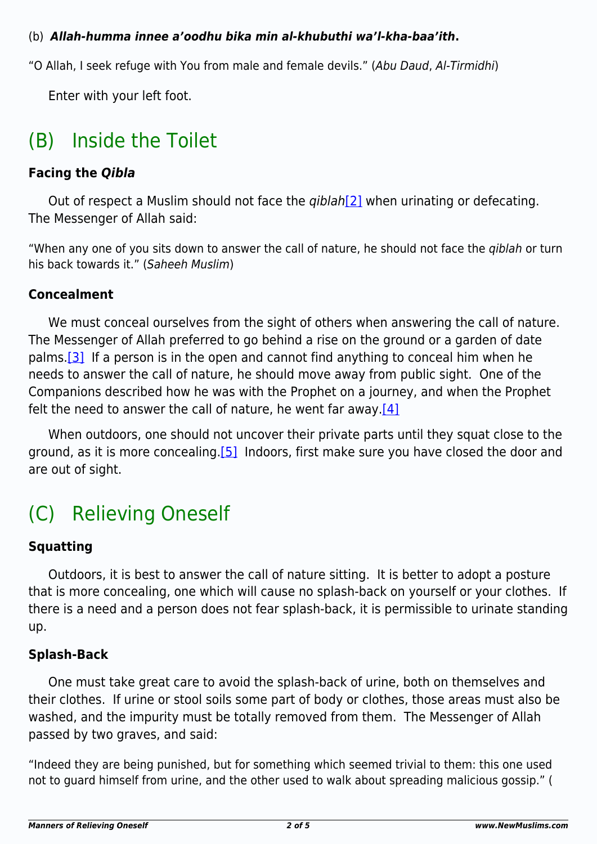#### (b) *Allah-humma innee a'oodhu bika min al-khubuthi wa'l-kha-baa'ith***.**

"O Allah, I seek refuge with You from male and female devils." (Abu Daud, Al-Tirmidhi)

Enter with your left foot.

## (B) Inside the Toilet

### **Facing the** *Qibla*

<span id="page-1-0"></span>Out of respect a Muslim should not face the  $qiblah[2]$  $qiblah[2]$  when urinating or defecating. The Messenger of Allah said:

"When any one of you sits down to answer the call of nature, he should not face the qiblah or turn his back towards it." (Saheeh Muslim)

### **Concealment**

<span id="page-1-1"></span>We must conceal ourselves from the sight of others when answering the call of nature. The Messenger of Allah preferred to go behind a rise on the ground or a garden of date palms[.\[3\]](#page-4-1) If a person is in the open and cannot find anything to conceal him when he needs to answer the call of nature, he should move away from public sight. One of the Companions described how he was with the Prophet on a journey, and when the Prophet felt the need to answer the call of nature, he went far away. $[4]$ 

<span id="page-1-3"></span><span id="page-1-2"></span>When outdoors, one should not uncover their private parts until they squat close to the ground, as it is more concealing[.\[5\]](#page-4-3) Indoors, first make sure you have closed the door and are out of sight.

## (C) Relieving Oneself

### **Squatting**

Outdoors, it is best to answer the call of nature sitting. It is better to adopt a posture that is more concealing, one which will cause no splash-back on yourself or your clothes. If there is a need and a person does not fear splash-back, it is permissible to urinate standing up.

### **Splash-Back**

One must take great care to avoid the splash-back of urine, both on themselves and their clothes. If urine or stool soils some part of body or clothes, those areas must also be washed, and the impurity must be totally removed from them. The Messenger of Allah passed by two graves, and said:

"Indeed they are being punished, but for something which seemed trivial to them: this one used not to guard himself from urine, and the other used to walk about spreading malicious gossip." (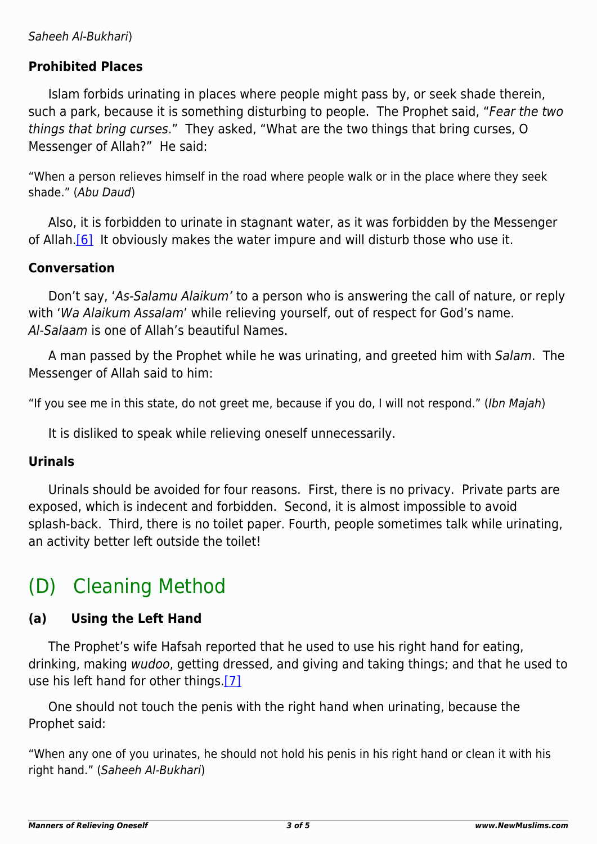#### **Prohibited Places**

Islam forbids urinating in places where people might pass by, or seek shade therein, such a park, because it is something disturbing to people. The Prophet said, "Fear the two things that bring curses." They asked, "What are the two things that bring curses, O Messenger of Allah?" He said:

"When a person relieves himself in the road where people walk or in the place where they seek shade." (Abu Daud)

<span id="page-2-0"></span>Also, it is forbidden to urinate in stagnant water, as it was forbidden by the Messenger of Allah.<sup>[6]</sup> It obviously makes the water impure and will disturb those who use it.

#### **Conversation**

Don't say, 'As-Salamu Alaikum' to a person who is answering the call of nature, or reply with 'Wa Alaikum Assalam' while relieving yourself, out of respect for God's name. Al-Salaam is one of Allah's beautiful Names.

A man passed by the Prophet while he was urinating, and greeted him with Salam. The Messenger of Allah said to him:

"If you see me in this state, do not greet me, because if you do, I will not respond." (Ibn Majah)

It is disliked to speak while relieving oneself unnecessarily.

#### **Urinals**

Urinals should be avoided for four reasons. First, there is no privacy. Private parts are exposed, which is indecent and forbidden. Second, it is almost impossible to avoid splash-back. Third, there is no toilet paper. Fourth, people sometimes talk while urinating, an activity better left outside the toilet!

## (D) Cleaning Method

### **(a) Using the Left Hand**

The Prophet's wife Hafsah reported that he used to use his right hand for eating, drinking, making wudoo, getting dressed, and giving and taking things; and that he used to use his left hand for other things.[\[7\]](#page-4-5)

<span id="page-2-1"></span>One should not touch the penis with the right hand when urinating, because the Prophet said:

"When any one of you urinates, he should not hold his penis in his right hand or clean it with his right hand." (Saheeh Al-Bukhari)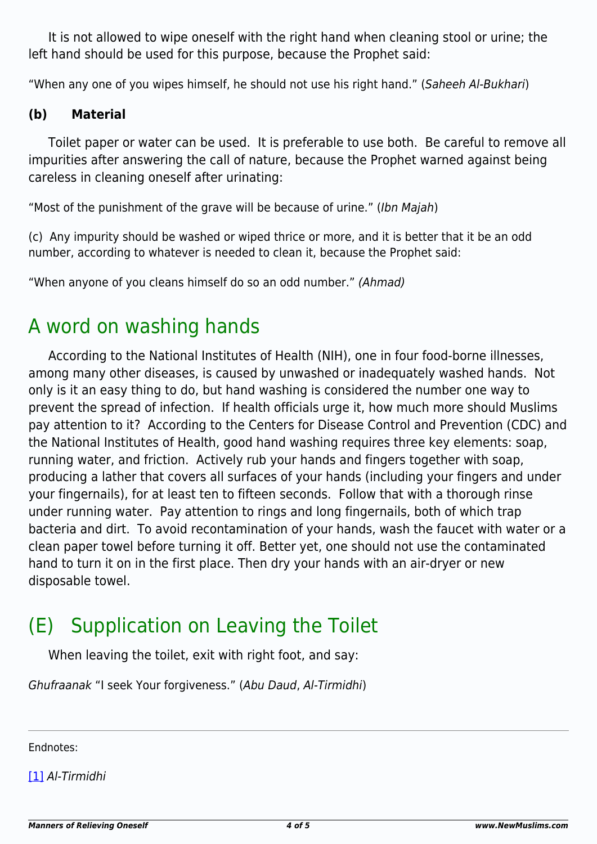It is not allowed to wipe oneself with the right hand when cleaning stool or urine; the left hand should be used for this purpose, because the Prophet said:

"When any one of you wipes himself, he should not use his right hand." (Saheeh Al-Bukhari)

#### **(b) Material**

Toilet paper or water can be used. It is preferable to use both. Be careful to remove all impurities after answering the call of nature, because the Prophet warned against being careless in cleaning oneself after urinating:

"Most of the punishment of the grave will be because of urine." (Ibn Majah)

(c) Any impurity should be washed or wiped thrice or more, and it is better that it be an odd number, according to whatever is needed to clean it, because the Prophet said:

"When anyone of you cleans himself do so an odd number." (Ahmad)

### A word on washing hands

According to the National Institutes of Health (NIH), one in four food-borne illnesses, among many other diseases, is caused by unwashed or inadequately washed hands. Not only is it an easy thing to do, but hand washing is considered the number one way to prevent the spread of infection. If health officials urge it, how much more should Muslims pay attention to it? According to the Centers for Disease Control and Prevention (CDC) and the National Institutes of Health, good hand washing requires three key elements: soap, running water, and friction. Actively rub your hands and fingers together with soap, producing a lather that covers all surfaces of your hands (including your fingers and under your fingernails), for at least ten to fifteen seconds. Follow that with a thorough rinse under running water. Pay attention to rings and long fingernails, both of which trap bacteria and dirt. To avoid recontamination of your hands, wash the faucet with water or a clean paper towel before turning it off. Better yet, one should not use the contaminated hand to turn it on in the first place. Then dry your hands with an air-dryer or new disposable towel.

## (E) Supplication on Leaving the Toilet

When leaving the toilet, exit with right foot, and say:

Ghufraanak "I seek Your forgiveness." (Abu Daud, Al-Tirmidhi)

<span id="page-3-0"></span>Endnotes:

[\[1\]](#page-0-0) Al-Tirmidhi